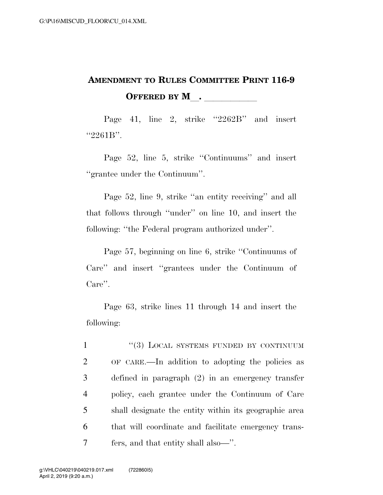## **AMENDMENT TO RULES COMMITTEE PRINT 116-9 OFFERED BY M**.

Page 41, line 2, strike "2262B" and insert "2261B".

Page 52, line 5, strike ''Continuums'' and insert ''grantee under the Continuum''.

Page 52, line 9, strike "an entity receiving" and all that follows through ''under'' on line 10, and insert the following: ''the Federal program authorized under''.

Page 57, beginning on line 6, strike ''Continuums of Care'' and insert ''grantees under the Continuum of Care''.

Page 63, strike lines 11 through 14 and insert the following:

1 "(3) LOCAL SYSTEMS FUNDED BY CONTINUUM OF CARE.—In addition to adopting the policies as defined in paragraph (2) in an emergency transfer policy, each grantee under the Continuum of Care shall designate the entity within its geographic area that will coordinate and facilitate emergency trans-fers, and that entity shall also—''.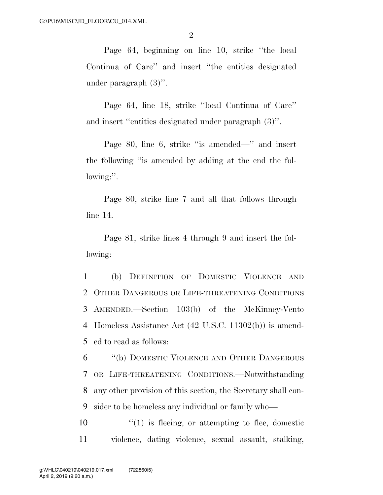Page 64, beginning on line 10, strike ''the local Continua of Care'' and insert ''the entities designated under paragraph (3)''.

Page 64, line 18, strike ''local Continua of Care'' and insert ''entities designated under paragraph (3)''.

Page 80, line 6, strike "is amended—" and insert the following ''is amended by adding at the end the following:''.

Page 80, strike line 7 and all that follows through line 14.

Page 81, strike lines 4 through 9 and insert the following:

 (b) DEFINITION OF DOMESTIC VIOLENCE AND OTHER DANGEROUS OR LIFE-THREATENING CONDITIONS AMENDED.—Section 103(b) of the McKinney-Vento Homeless Assistance Act (42 U.S.C. 11302(b)) is amend-ed to read as follows:

 ''(b) DOMESTIC VIOLENCE AND OTHER DANGEROUS OR LIFE-THREATENING CONDITIONS.—Notwithstanding any other provision of this section, the Secretary shall con-sider to be homeless any individual or family who—

 $\mathcal{L}(1)$  is fleeing, or attempting to flee, domestic 11 violence, dating violence, sexual assault, stalking,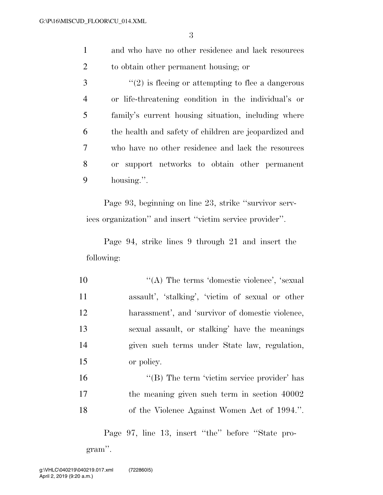- 1 and who have no other residence and lack resources 2 to obtain other permanent housing; or
- $\mathcal{S}$  ''(2) is fleeing or attempting to flee a dangerous 4 or life-threatening condition in the individual's or 5 family's current housing situation, including where 6 the health and safety of children are jeopardized and 7 who have no other residence and lack the resources 8 or support networks to obtain other permanent 9 housing.''.

Page 93, beginning on line 23, strike ''survivor services organization'' and insert ''victim service provider''.

Page 94, strike lines 9 through 21 and insert the following:

 $\langle (A)$  The terms 'domestic violence', 'sexual assault', 'stalking', 'victim of sexual or other harassment', and 'survivor of domestic violence, sexual assault, or stalking' have the meanings given such terms under State law, regulation, or policy.

16 "(B) The term 'victim service provider' has 17 the meaning given such term in section 40002 18 of the Violence Against Women Act of 1994.''.

Page 97, line 13, insert ''the'' before ''State program''.